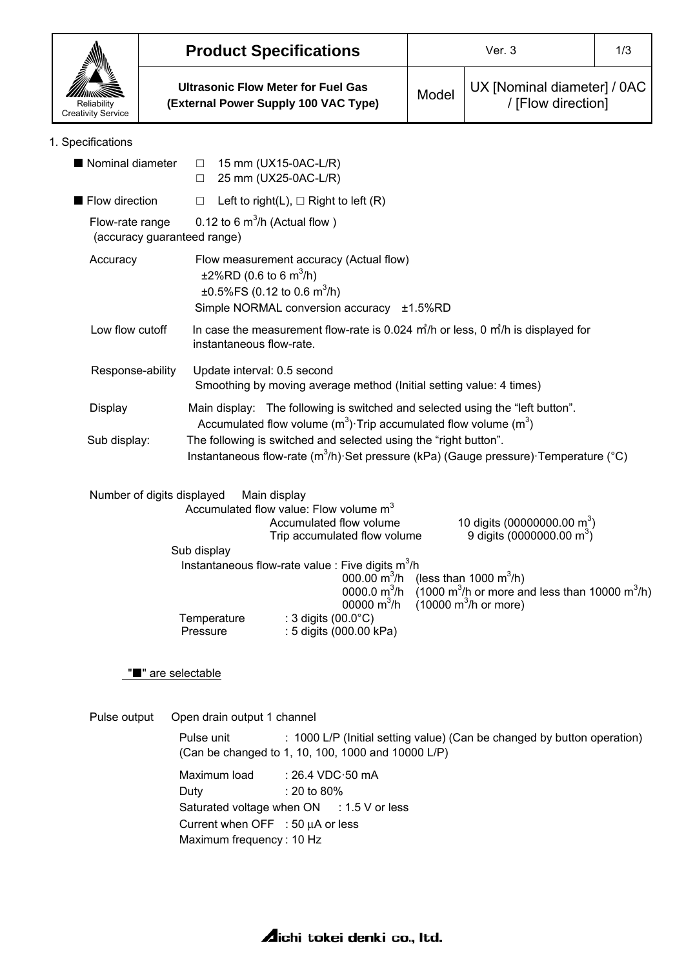| Reliability<br><b>Creativity Service</b>                                                                                                                                                 |                                                                                                                                             | <b>Product Specifications</b>                                                                                                                                |       | 1/3                                                                                                           |  |  |  |
|------------------------------------------------------------------------------------------------------------------------------------------------------------------------------------------|---------------------------------------------------------------------------------------------------------------------------------------------|--------------------------------------------------------------------------------------------------------------------------------------------------------------|-------|---------------------------------------------------------------------------------------------------------------|--|--|--|
|                                                                                                                                                                                          | <b>Ultrasonic Flow Meter for Fuel Gas</b><br>(External Power Supply 100 VAC Type)                                                           |                                                                                                                                                              | Model | UX [Nominal diameter] / 0AC<br>/ [Flow direction]                                                             |  |  |  |
| 1. Specifications                                                                                                                                                                        |                                                                                                                                             |                                                                                                                                                              |       |                                                                                                               |  |  |  |
| Nominal diameter                                                                                                                                                                         | $\Box$<br>$\Box$                                                                                                                            | 15 mm (UX15-0AC-L/R)<br>25 mm (UX25-0AC-L/R)                                                                                                                 |       |                                                                                                               |  |  |  |
| Flow direction                                                                                                                                                                           | $\Box$                                                                                                                                      | Left to right(L), $\Box$ Right to left (R)                                                                                                                   |       |                                                                                                               |  |  |  |
| 0.12 to 6 $m^3/h$ (Actual flow)<br>Flow-rate range<br>(accuracy guaranteed range)                                                                                                        |                                                                                                                                             |                                                                                                                                                              |       |                                                                                                               |  |  |  |
| Flow measurement accuracy (Actual flow)<br>Accuracy<br>$\pm 2\%$ RD (0.6 to 6 m <sup>3</sup> /h)<br>±0.5%FS (0.12 to 0.6 m <sup>3</sup> /h)<br>Simple NORMAL conversion accuracy ±1.5%RD |                                                                                                                                             |                                                                                                                                                              |       |                                                                                                               |  |  |  |
| Low flow cutoff<br>In case the measurement flow-rate is 0.024 $\frac{m}{h}$ or less, 0 $\frac{m}{h}$ is displayed for<br>instantaneous flow-rate.                                        |                                                                                                                                             |                                                                                                                                                              |       |                                                                                                               |  |  |  |
| Response-ability                                                                                                                                                                         |                                                                                                                                             | Update interval: 0.5 second<br>Smoothing by moving average method (Initial setting value: 4 times)                                                           |       |                                                                                                               |  |  |  |
| Display                                                                                                                                                                                  |                                                                                                                                             | Main display: The following is switched and selected using the "left button".<br>Accumulated flow volume $(m^3)$ . Trip accumulated flow volume $(m^3)$      |       |                                                                                                               |  |  |  |
| Sub display:                                                                                                                                                                             |                                                                                                                                             | The following is switched and selected using the "right button".<br>Instantaneous flow-rate $(m^3/h)$ . Set pressure (kPa) (Gauge pressure) Temperature (°C) |       |                                                                                                               |  |  |  |
|                                                                                                                                                                                          | Number of digits displayed                                                                                                                  | Main display<br>Accumulated flow value: Flow volume m <sup>3</sup><br>Accumulated flow volume<br>Trip accumulated flow volume                                |       | 10 digits (00000000.00 m <sup>3</sup> )<br>9 digits (0000000.00 m <sup>3</sup> )                              |  |  |  |
|                                                                                                                                                                                          | Sub display                                                                                                                                 |                                                                                                                                                              |       |                                                                                                               |  |  |  |
|                                                                                                                                                                                          |                                                                                                                                             | Instantaneous flow-rate value : Five digits $m^3/h$<br>000.00 $\text{m}^3/\text{h}$ (less than 1000 $\text{m}^3/\text{h}$ )<br>00000 $m^3/h$                 |       | 0000.0 $m^3/h$ (1000 $m^3/h$ or more and less than 10000 $m^3/h$ )<br>$(10000 \text{ m}^3/h \text{ or more})$ |  |  |  |
|                                                                                                                                                                                          | Temperature<br>Pressure                                                                                                                     | : 3 digits $(00.0^{\circ}C)$<br>: 5 digits (000.00 kPa)                                                                                                      |       |                                                                                                               |  |  |  |
|                                                                                                                                                                                          | " are selectable                                                                                                                            |                                                                                                                                                              |       |                                                                                                               |  |  |  |
| Pulse output                                                                                                                                                                             | Open drain output 1 channel                                                                                                                 |                                                                                                                                                              |       |                                                                                                               |  |  |  |
|                                                                                                                                                                                          | Pulse unit<br>: 1000 L/P (Initial setting value) (Can be changed by button operation)<br>(Can be changed to 1, 10, 100, 1000 and 10000 L/P) |                                                                                                                                                              |       |                                                                                                               |  |  |  |
|                                                                                                                                                                                          | Maximum load<br>Duty<br>Maximum frequency: 10 Hz                                                                                            | : 26.4 VDC 50 mA<br>: 20 to 80%<br>Saturated voltage when ON : 1.5 V or less<br>Current when OFF : 50 $\mu$ A or less                                        |       |                                                                                                               |  |  |  |

**Aichi tokei denki co., Itd.**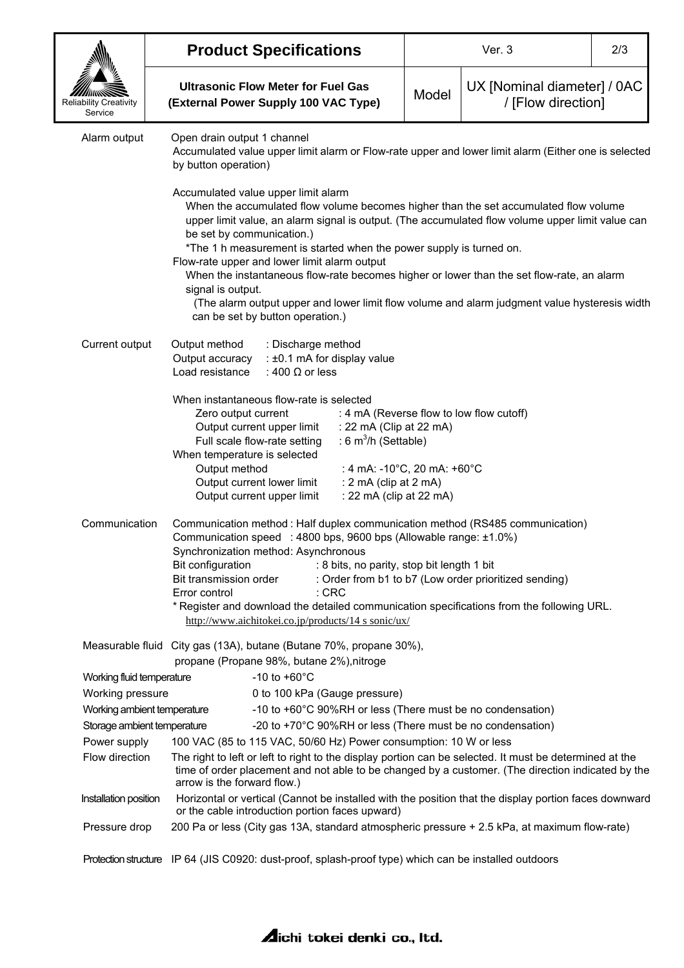|                                          | <b>Product Specifications</b>                                     |                                                                                                                                                                                                                                                                                                                                                                                                                                                                                                                                                                                                                                            |                                                                                                                                                                                   | Ver. 3 |                                                                                                                                                                                                                                     | 2/3 |  |
|------------------------------------------|-------------------------------------------------------------------|--------------------------------------------------------------------------------------------------------------------------------------------------------------------------------------------------------------------------------------------------------------------------------------------------------------------------------------------------------------------------------------------------------------------------------------------------------------------------------------------------------------------------------------------------------------------------------------------------------------------------------------------|-----------------------------------------------------------------------------------------------------------------------------------------------------------------------------------|--------|-------------------------------------------------------------------------------------------------------------------------------------------------------------------------------------------------------------------------------------|-----|--|
| <b>Reliability Creativity</b><br>Service |                                                                   | <b>Ultrasonic Flow Meter for Fuel Gas</b><br>(External Power Supply 100 VAC Type)                                                                                                                                                                                                                                                                                                                                                                                                                                                                                                                                                          |                                                                                                                                                                                   | Model  | UX [Nominal diameter] / 0AC<br>/ [Flow direction]                                                                                                                                                                                   |     |  |
| Alarm output                             |                                                                   | Open drain output 1 channel<br>Accumulated value upper limit alarm or Flow-rate upper and lower limit alarm (Either one is selected<br>by button operation)                                                                                                                                                                                                                                                                                                                                                                                                                                                                                |                                                                                                                                                                                   |        |                                                                                                                                                                                                                                     |     |  |
|                                          |                                                                   | Accumulated value upper limit alarm<br>When the accumulated flow volume becomes higher than the set accumulated flow volume<br>upper limit value, an alarm signal is output. (The accumulated flow volume upper limit value can<br>be set by communication.)<br>*The 1 h measurement is started when the power supply is turned on.<br>Flow-rate upper and lower limit alarm output<br>When the instantaneous flow-rate becomes higher or lower than the set flow-rate, an alarm<br>signal is output.<br>(The alarm output upper and lower limit flow volume and alarm judgment value hysteresis width<br>can be set by button operation.) |                                                                                                                                                                                   |        |                                                                                                                                                                                                                                     |     |  |
| Current output                           |                                                                   | Output method<br>: Discharge method<br>Output accuracy<br>: ±0.1 mA for display value<br>Load resistance<br>: 400 $\Omega$ or less                                                                                                                                                                                                                                                                                                                                                                                                                                                                                                         |                                                                                                                                                                                   |        |                                                                                                                                                                                                                                     |     |  |
|                                          |                                                                   | When instantaneous flow-rate is selected<br>Zero output current<br>Output current upper limit<br>Full scale flow-rate setting<br>When temperature is selected<br>Output method<br>Output current lower limit<br>Output current upper limit                                                                                                                                                                                                                                                                                                                                                                                                 | : 22 mA (Clip at 22 mA)<br>: 6 $m^3/h$ (Settable)<br>: 4 mA: -10°C, 20 mA: +60°C<br>: 2 mA (clip at 2 mA)<br>: 22 mA (clip at 22 mA)                                              |        | : 4 mA (Reverse flow to low flow cutoff)                                                                                                                                                                                            |     |  |
| Communication                            | Bit configuration<br>Bit transmission order<br>Error control      | Synchronization method: Asynchronous                                                                                                                                                                                                                                                                                                                                                                                                                                                                                                                                                                                                       | Communication speed : 4800 bps, 9600 bps (Allowable range: ±1.0%)<br>: 8 bits, no parity, stop bit length 1 bit<br>$:$ CRC<br>http://www.aichitokei.co.jp/products/14 s sonic/ux/ |        | Communication method : Half duplex communication method (RS485 communication)<br>: Order from b1 to b7 (Low order prioritized sending)<br>* Register and download the detailed communication specifications from the following URL. |     |  |
|                                          |                                                                   | propane (Propane 98%, butane 2%), nitroge                                                                                                                                                                                                                                                                                                                                                                                                                                                                                                                                                                                                  | Measurable fluid City gas (13A), butane (Butane 70%, propane 30%),                                                                                                                |        |                                                                                                                                                                                                                                     |     |  |
| Working fluid temperature                |                                                                   | $-10$ to $+60^{\circ}$ C                                                                                                                                                                                                                                                                                                                                                                                                                                                                                                                                                                                                                   |                                                                                                                                                                                   |        |                                                                                                                                                                                                                                     |     |  |
| Working pressure                         |                                                                   |                                                                                                                                                                                                                                                                                                                                                                                                                                                                                                                                                                                                                                            | 0 to 100 kPa (Gauge pressure)                                                                                                                                                     |        |                                                                                                                                                                                                                                     |     |  |
|                                          | Working ambient temperature                                       |                                                                                                                                                                                                                                                                                                                                                                                                                                                                                                                                                                                                                                            |                                                                                                                                                                                   |        | -10 to +60°C 90%RH or less (There must be no condensation)                                                                                                                                                                          |     |  |
| Storage ambient temperature              |                                                                   |                                                                                                                                                                                                                                                                                                                                                                                                                                                                                                                                                                                                                                            |                                                                                                                                                                                   |        | -20 to +70°C 90%RH or less (There must be no condensation)                                                                                                                                                                          |     |  |
| Power supply                             | 100 VAC (85 to 115 VAC, 50/60 Hz) Power consumption: 10 W or less |                                                                                                                                                                                                                                                                                                                                                                                                                                                                                                                                                                                                                                            |                                                                                                                                                                                   |        |                                                                                                                                                                                                                                     |     |  |
| Flow direction                           |                                                                   | The right to left or left to right to the display portion can be selected. It must be determined at the<br>time of order placement and not able to be changed by a customer. (The direction indicated by the<br>arrow is the forward flow.)                                                                                                                                                                                                                                                                                                                                                                                                |                                                                                                                                                                                   |        |                                                                                                                                                                                                                                     |     |  |
| Installation position                    |                                                                   | Horizontal or vertical (Cannot be installed with the position that the display portion faces downward<br>or the cable introduction portion faces upward)                                                                                                                                                                                                                                                                                                                                                                                                                                                                                   |                                                                                                                                                                                   |        |                                                                                                                                                                                                                                     |     |  |
| Pressure drop                            |                                                                   |                                                                                                                                                                                                                                                                                                                                                                                                                                                                                                                                                                                                                                            |                                                                                                                                                                                   |        | 200 Pa or less (City gas 13A, standard atmospheric pressure + 2.5 kPa, at maximum flow-rate)                                                                                                                                        |     |  |
|                                          |                                                                   |                                                                                                                                                                                                                                                                                                                                                                                                                                                                                                                                                                                                                                            |                                                                                                                                                                                   |        | Protection structure IP 64 (JIS C0920: dust-proof, splash-proof type) which can be installed outdoors                                                                                                                               |     |  |

## **Aichi tokei denki co., Itd.**